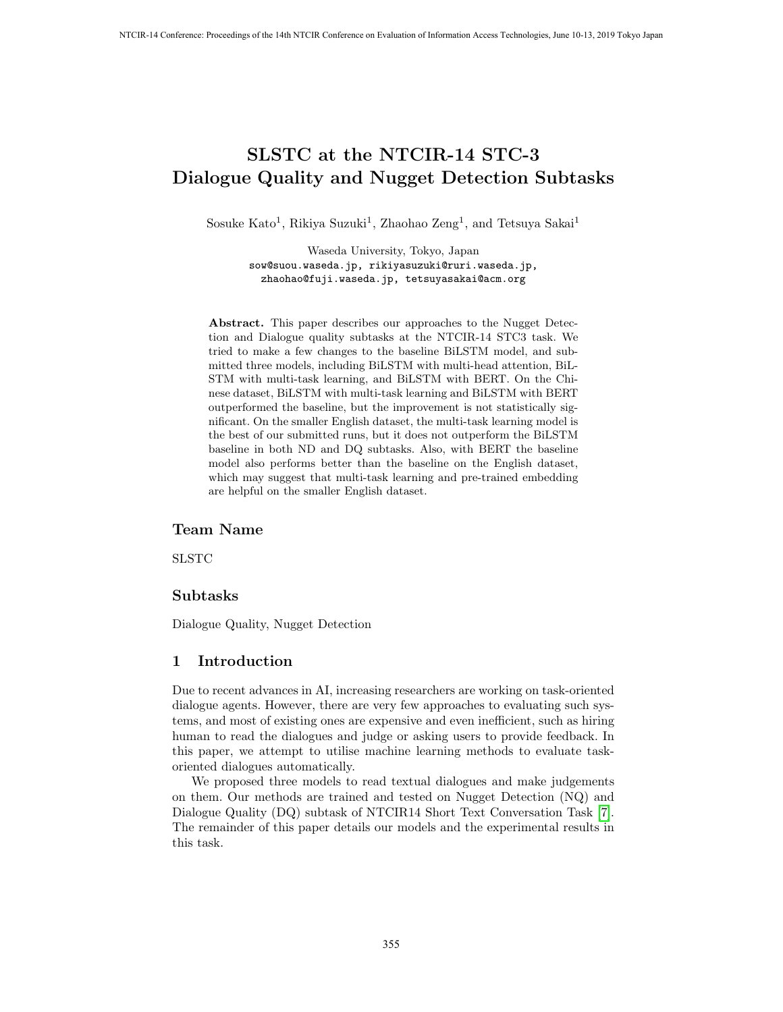# SLSTC at the NTCIR-14 STC-3 Dialogue Quality and Nugget Detection Subtasks

Sosuke Kato<sup>1</sup>, Rikiya Suzuki<sup>1</sup>, Zhaohao Zeng<sup>1</sup>, and Tetsuya Sakai<sup>1</sup>

Waseda University, Tokyo, Japan sow@suou.waseda.jp, rikiyasuzuki@ruri.waseda.jp, zhaohao@fuji.waseda.jp, tetsuyasakai@acm.org

Abstract. This paper describes our approaches to the Nugget Detection and Dialogue quality subtasks at the NTCIR-14 STC3 task. We tried to make a few changes to the baseline BiLSTM model, and submitted three models, including BiLSTM with multi-head attention, BiL-STM with multi-task learning, and BiLSTM with BERT. On the Chinese dataset, BiLSTM with multi-task learning and BiLSTM with BERT outperformed the baseline, but the improvement is not statistically significant. On the smaller English dataset, the multi-task learning model is the best of our submitted runs, but it does not outperform the BiLSTM baseline in both ND and DQ subtasks. Also, with BERT the baseline model also performs better than the baseline on the English dataset, which may suggest that multi-task learning and pre-trained embedding are helpful on the smaller English dataset.

### Team Name

SLSTC

### Subtasks

Dialogue Quality, Nugget Detection

### 1 Introduction

Due to recent advances in AI, increasing researchers are working on task-oriented dialogue agents. However, there are very few approaches to evaluating such systems, and most of existing ones are expensive and even inefficient, such as hiring human to read the dialogues and judge or asking users to provide feedback. In this paper, we attempt to utilise machine learning methods to evaluate taskoriented dialogues automatically.

We proposed three models to read textual dialogues and make judgements on them. Our methods are trained and tested on Nugget Detection (NQ) and Dialogue Quality (DQ) subtask of NTCIR14 Short Text Conversation Task [7]. The remainder of this paper details our models and the experimental results in this task.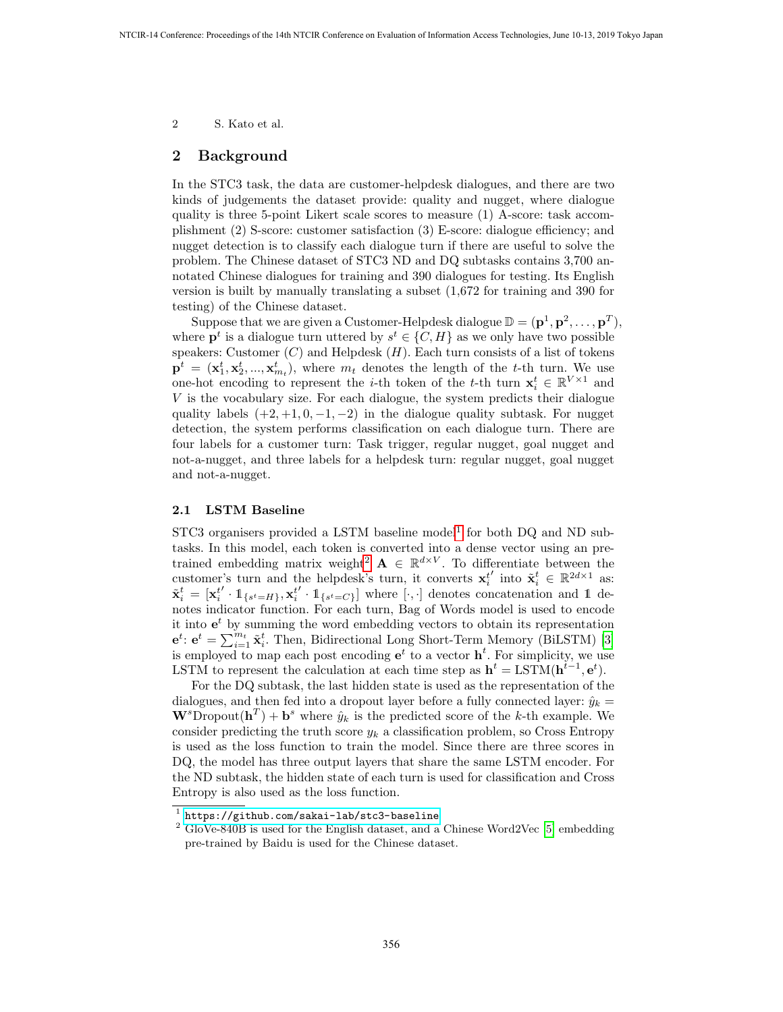2 S. Kato et al.

# 2 Background

In the STC3 task, the data are customer-helpdesk dialogues, and there are two kinds of judgements the dataset provide: quality and nugget, where dialogue quality is three 5-point Likert scale scores to measure (1) A-score: task accomplishment (2) S-score: customer satisfaction (3) E-score: dialogue efficiency; and nugget detection is to classify each dialogue turn if there are useful to solve the problem. The Chinese dataset of STC3 ND and DQ subtasks contains 3,700 annotated Chinese dialogues for training and 390 dialogues for testing. Its English version is built by manually translating a subset (1,672 for training and 390 for testing) of the Chinese dataset.

Suppose that we are given a Customer-Helpdesk dialogue  $\mathbb{D} = (\mathbf{p}^1, \mathbf{p}^2, \dots, \mathbf{p}^T)$ , where  $\mathbf{p}^t$  is a dialogue turn uttered by  $s^t \in \{C, H\}$  as we only have two possible speakers: Customer  $(C)$  and Helpdesk  $(H)$ . Each turn consists of a list of tokens  $\mathbf{p}^t = (\mathbf{x}_1^t, \mathbf{x}_2^t, ..., \mathbf{x}_{m_t}^t)$ , where  $m_t$  denotes the length of the t-th turn. We use one-hot encoding to represent the *i*-th token of the *t*-th turn  $\mathbf{x}_i^t \in \mathbb{R}^{V \times 1}$  and V is the vocabulary size. For each dialogue, the system predicts their dialogue quality labels  $(+2, +1, 0, -1, -2)$  in the dialogue quality subtask. For nugget detection, the system performs classification on each dialogue turn. There are four labels for a customer turn: Task trigger, regular nugget, goal nugget and not-a-nugget, and three labels for a helpdesk turn: regular nugget, goal nugget and not-a-nugget.

#### 2.1 LSTM Baseline

 $STC3$  organisers provided a LSTM baseline model<sup>1</sup> for both DQ and ND subtasks. In this model, each token is converted into a dense vector using an pretrained embedding matrix weight<sup>2</sup>  $\mathbf{A} \in \mathbb{R}^{d \times V}$ . To differentiate between the customer's turn and the helpdesk's turn, it converts  $\mathbf{x}_i^t$ ' into  $\tilde{\mathbf{x}}_i^t \in \mathbb{R}^{2d \times 1}$  as:  $\tilde{\textbf{x}}^t_{i} = [\textbf{x}^t_{i}$  $\cdot \mathbb{1}_{\{s^t = H\}}, \mathbf{x}_i^t$  $\left\{ \cdot, 1_{\{s^t=C\}} \right\}$  where  $\left[\cdot, \cdot\right]$  denotes concatenation and 1 denotes indicator function. For each turn, Bag of Words model is used to encode it into  $e^t$  by summing the word embedding vectors to obtain its representation  $e^t$ :  $e^t = \sum_{i=1}^{m_t} \tilde{\mathbf{x}}_i^t$ . Then, Bidirectional Long Short-Term Memory (BiLSTM) [3] is employed to map each post encoding  $e^t$  to a vector  $h^t$ . For simplicity, we use LSTM to represent the calculation at each time step as  $h^t = LSTM(h^{t-1}, e^t)$ .

For the DQ subtask, the last hidden state is used as the representation of the dialogues, and then fed into a dropout layer before a fully connected layer:  $\hat{y}_k =$  $\mathbf{W}^s$ Dropout $(\mathbf{h}^T) + \mathbf{b}^s$  where  $\hat{y}_k$  is the predicted score of the k-th example. We consider predicting the truth score  $y_k$  a classification problem, so Cross Entropy is used as the loss function to train the model. Since there are three scores in DQ, the model has three output layers that share the same LSTM encoder. For the ND subtask, the hidden state of each turn is used for classification and Cross Entropy is also used as the loss function.

<sup>1</sup> <https://github.com/sakai-lab/stc3-baseline>

 $2$  GloVe-840B is used for the English dataset, and a Chinese Word2Vec [5] embedding pre-trained by Baidu is used for the Chinese dataset.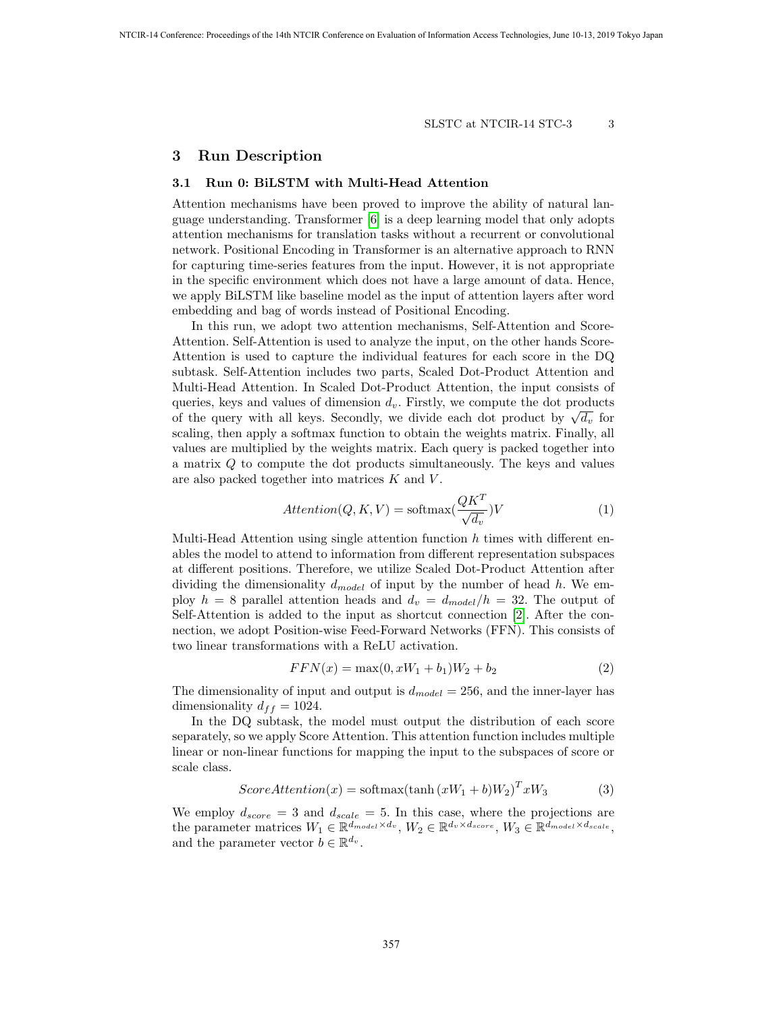#### SLSTC at NTCIR-14 STC-3 3

# 3 Run Description

## 3.1 Run 0: BiLSTM with Multi-Head Attention

Attention mechanisms have been proved to improve the ability of natural language understanding. Transformer [6] is a deep learning model that only adopts attention mechanisms for translation tasks without a recurrent or convolutional network. Positional Encoding in Transformer is an alternative approach to RNN for capturing time-series features from the input. However, it is not appropriate in the specific environment which does not have a large amount of data. Hence, we apply BiLSTM like baseline model as the input of attention layers after word embedding and bag of words instead of Positional Encoding.

In this run, we adopt two attention mechanisms, Self-Attention and Score-Attention. Self-Attention is used to analyze the input, on the other hands Score-Attention is used to capture the individual features for each score in the DQ subtask. Self-Attention includes two parts, Scaled Dot-Product Attention and Multi-Head Attention. In Scaled Dot-Product Attention, the input consists of queries, keys and values of dimension  $d_v$ . Firstly, we compute the dot products queries, keys and values of dimension  $a_v$ . Firstly, we compute the dot products of the query with all keys. Secondly, we divide each dot product by  $\sqrt{d_v}$  for scaling, then apply a softmax function to obtain the weights matrix. Finally, all values are multiplied by the weights matrix. Each query is packed together into a matrix Q to compute the dot products simultaneously. The keys and values are also packed together into matrices  $K$  and  $V$ .

$$
Attention(Q, K, V) = softmax(\frac{QK^{T}}{\sqrt{d_v}})V
$$
\n(1)

Multi-Head Attention using single attention function  $h$  times with different enables the model to attend to information from different representation subspaces at different positions. Therefore, we utilize Scaled Dot-Product Attention after dividing the dimensionality  $d_{model}$  of input by the number of head h. We employ  $h = 8$  parallel attention heads and  $d_v = d_{model}/h = 32$ . The output of Self-Attention is added to the input as shortcut connection [2]. After the connection, we adopt Position-wise Feed-Forward Networks (FFN). This consists of two linear transformations with a ReLU activation.

$$
FFN(x) = \max(0, xW_1 + b_1)W_2 + b_2
$$
\n(2)

The dimensionality of input and output is  $d_{model} = 256$ , and the inner-layer has dimensionality  $d_{ff} = 1024$ .

In the DQ subtask, the model must output the distribution of each score separately, so we apply Score Attention. This attention function includes multiple linear or non-linear functions for mapping the input to the subspaces of score or scale class.

$$
ScoreAttention(x) = softmax(tanh(xW_1 + b)W_2)^T xW_3
$$
\n(3)

We employ  $d_{score} = 3$  and  $d_{scale} = 5$ . In this case, where the projections are the parameter matrices  $W_1 \in \mathbb{R}^{d_{model} \times d_v}$ ,  $W_2 \in \mathbb{R}^{d_v \times d_{score}}$ ,  $W_3 \in \mathbb{R}^{d_{model} \times d_{scale}}$ , and the parameter vector  $b \in \mathbb{R}^{d_v}$ .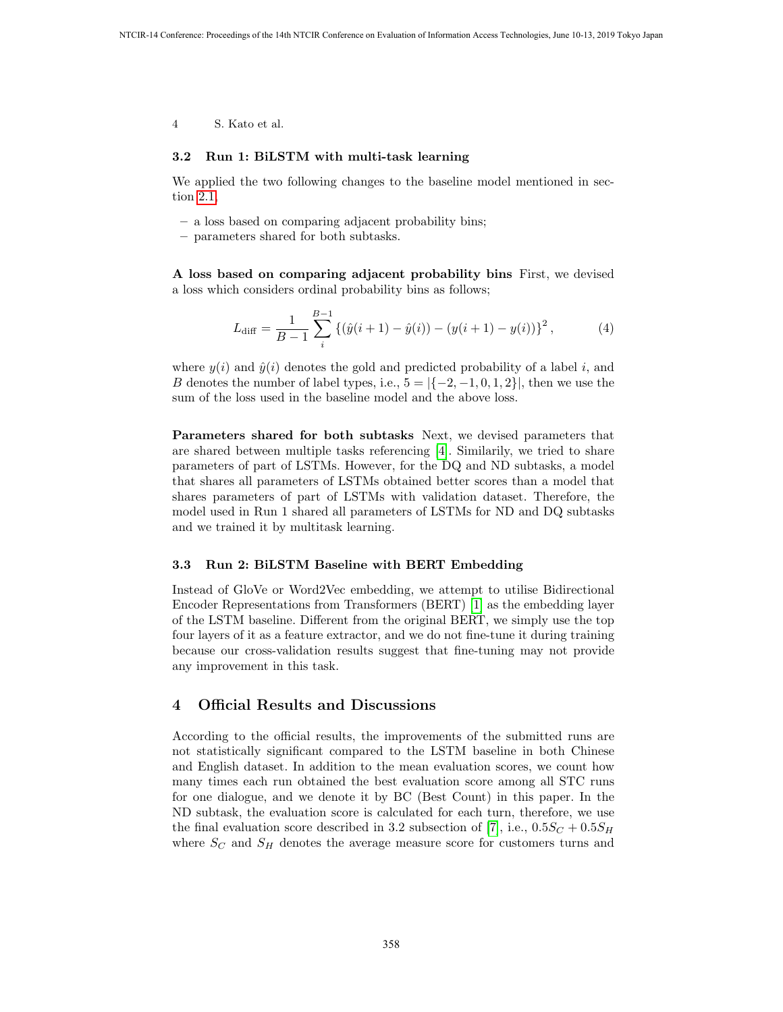4 S. Kato et al.

#### 3.2 Run 1: BiLSTM with multi-task learning

We applied the two following changes to the baseline model mentioned in section 2.1,

- a loss based on comparing adjacent probability bins;
- parameters shared for both subtasks.

A loss based on comparing adjacent probability bins First, we devised a loss which considers ordinal probability bins as follows;

$$
L_{\text{diff}} = \frac{1}{B-1} \sum_{i}^{B-1} \left\{ (\hat{y}(i+1) - \hat{y}(i)) - (y(i+1) - y(i)) \right\}^2, \tag{4}
$$

where  $y(i)$  and  $\hat{y}(i)$  denotes the gold and predicted probability of a label i, and B denotes the number of label types, i.e.,  $5 = \{(-2, -1, 0, 1, 2\})$ , then we use the sum of the loss used in the baseline model and the above loss.

Parameters shared for both subtasks Next, we devised parameters that are shared between multiple tasks referencing [4]. Similarily, we tried to share parameters of part of LSTMs. However, for the DQ and ND subtasks, a model that shares all parameters of LSTMs obtained better scores than a model that shares parameters of part of LSTMs with validation dataset. Therefore, the model used in Run 1 shared all parameters of LSTMs for ND and DQ subtasks and we trained it by multitask learning.

#### 3.3 Run 2: BiLSTM Baseline with BERT Embedding

Instead of GloVe or Word2Vec embedding, we attempt to utilise Bidirectional Encoder Representations from Transformers (BERT) [1] as the embedding layer of the LSTM baseline. Different from the original BERT, we simply use the top four layers of it as a feature extractor, and we do not fine-tune it during training because our cross-validation results suggest that fine-tuning may not provide any improvement in this task.

### 4 Official Results and Discussions

According to the official results, the improvements of the submitted runs are not statistically significant compared to the LSTM baseline in both Chinese and English dataset. In addition to the mean evaluation scores, we count how many times each run obtained the best evaluation score among all STC runs for one dialogue, and we denote it by BC (Best Count) in this paper. In the ND subtask, the evaluation score is calculated for each turn, therefore, we use the final evaluation score described in 3.2 subsection of [7], i.e.,  $0.5S_C + 0.5S_H$ where  $S_C$  and  $S_H$  denotes the average measure score for customers turns and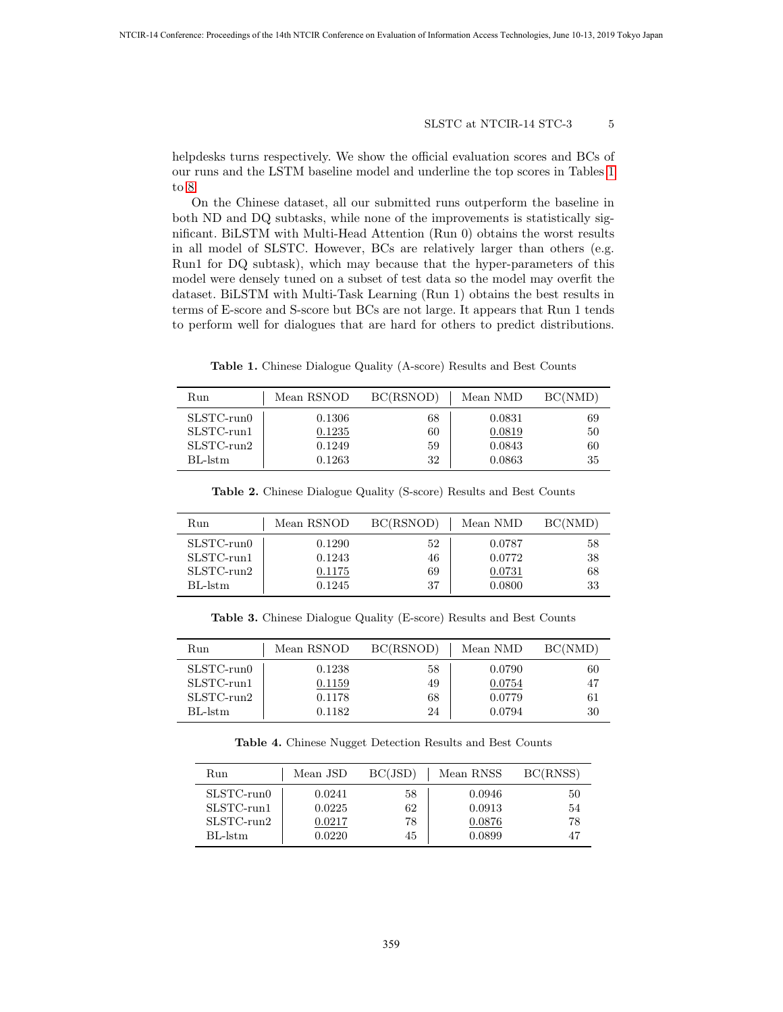#### SLSTC at NTCIR-14 STC-3 5

helpdesks turns respectively. We show the official evaluation scores and BCs of our runs and the LSTM baseline model and underline the top scores in Tables 1 to 8.

On the Chinese dataset, all our submitted runs outperform the baseline in both ND and DQ subtasks, while none of the improvements is statistically significant. BiLSTM with Multi-Head Attention (Run 0) obtains the worst results in all model of SLSTC. However, BCs are relatively larger than others (e.g. Run1 for DQ subtask), which may because that the hyper-parameters of this model were densely tuned on a subset of test data so the model may overfit the dataset. BiLSTM with Multi-Task Learning (Run 1) obtains the best results in terms of E-score and S-score but BCs are not large. It appears that Run 1 tends to perform well for dialogues that are hard for others to predict distributions.

Table 1. Chinese Dialogue Quality (A-score) Results and Best Counts

| Run              | Mean RSNOD | BC(RSNOD) | Mean NMD | BC(NMD) |
|------------------|------------|-----------|----------|---------|
| $SLSTC$ -run $0$ | 0.1306     | 68        | 0.0831   | 69      |
| SLSTC-run1       | 0.1235     | 60        | 0.0819   | 50      |
| $SLSTC$ -run $2$ | 0.1249     | 59        | 0.0843   | 60      |
| $BL-lstm$        | 0.1263     | 32        | 0.0863   | 35      |

Table 2. Chinese Dialogue Quality (S-score) Results and Best Counts

| Run              | Mean RSNOD | BC(RSNOD) | Mean NMD | BC(NMD) |
|------------------|------------|-----------|----------|---------|
| $SLSTC$ -run $0$ | 0.1290     | 52        | 0.0787   | 58      |
| SLSTC-run1       | 0.1243     | 46        | 0.0772   | 38      |
| $SLSTC$ -run $2$ | 0.1175     | 69        | 0.0731   | 68      |
| BL-lstm          | 0.1245     | 37        | 0.0800   | 33      |

Table 3. Chinese Dialogue Quality (E-score) Results and Best Counts

| Run              | Mean RSNOD | BC(RSNOD) | Mean NMD | BC(NMD) |
|------------------|------------|-----------|----------|---------|
| $SLSTC$ -run $0$ | 0.1238     | 58        | 0.0790   | 60      |
| SLSTC-run1       | 0.1159     | 49        | 0.0754   | 47      |
| $SLSTC$ -run $2$ | 0.1178     | 68        | 0.0779   | 61      |
| BL-1stm          | 0.1182     | 24        | 0.0794   | 30      |

Table 4. Chinese Nugget Detection Results and Best Counts

| Run              | Mean JSD             | BC(JSD) | Mean RNSS | BC(RNSS) |
|------------------|----------------------|---------|-----------|----------|
| $SLSTC$ -run $0$ | 0.0241               | 58      | 0.0946    | 50       |
| SLSTC-run1       | 0.0225               | 62      | 0.0913    | 54       |
| $SLSTC$ -run $2$ | $\hphantom{-}0.0217$ | 78      | 0.0876    | 78       |
| BL-1stm          | 0.0220               | 45      | 0.0899    | 47       |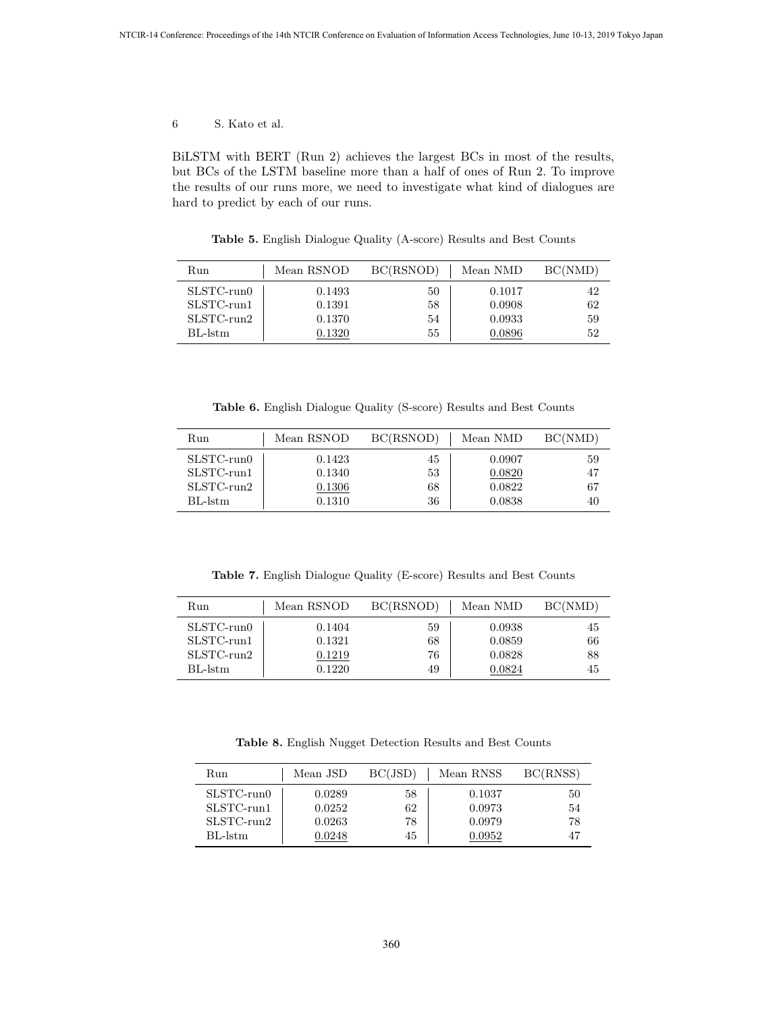6 S. Kato et al.

BiLSTM with BERT (Run 2) achieves the largest BCs in most of the results, but BCs of the LSTM baseline more than a half of ones of Run 2. To improve the results of our runs more, we need to investigate what kind of dialogues are hard to predict by each of our runs.

Table 5. English Dialogue Quality (A-score) Results and Best Counts

| Run              | Mean RSNOD | BC(RSNOD) | Mean NMD | BC(NMD) |
|------------------|------------|-----------|----------|---------|
| $SLSTC$ -run $0$ | 0.1493     | 50        | 0.1017   | 42      |
| $SLSTC$ -run $1$ | 0.1391     | 58        | 0.0908   | 62      |
| $SLSTC$ -run $2$ | 0.1370     | 54        | 0.0933   | 59      |
| $BL\text{-}lstm$ | 0.1320     | 55        | 0.0896   | 52      |

Table 6. English Dialogue Quality (S-score) Results and Best Counts

| Run              | Mean RSNOD | BC(RSNOD) | Mean NMD | BC(NMD) |
|------------------|------------|-----------|----------|---------|
| $SLSTC$ -run $0$ | 0.1423     | 45        | 0.0907   | 59      |
| SLSTC-run1       | 0.1340     | 53        | 0.0820   | 47      |
| $SLSTC$ -run $2$ | 0.1306     | 68        | 0.0822   | 67      |
| BL-lstm          | 0.1310     | 36        | 0.0838   | 40      |

Table 7. English Dialogue Quality (E-score) Results and Best Counts

| Run              | Mean RSNOD | BC(RSNOD) | Mean NMD | BC(NMD) |
|------------------|------------|-----------|----------|---------|
| $SLSTC$ -run $0$ | 0.1404     | 59        | 0.0938   | 45      |
| SLSTC-run1       | 0.1321     | 68        | 0.0859   | 66      |
| $SLSTC$ -run $2$ | 0.1219     | 76        | 0.0828   | 88      |
| BL-lstm          | 0.1220     | 49        | 0.0824   | 45      |

Table 8. English Nugget Detection Results and Best Counts

| Run              | Mean JSD | BC(JSD) | Mean RNSS | BC(RNSS) |
|------------------|----------|---------|-----------|----------|
| $SLSTC$ -run $0$ | 0.0289   | 58      | 0.1037    | 50       |
| $SLSTC$ -run $1$ | 0.0252   | 62      | 0.0973    | 54       |
| $SLSTC$ -run $2$ | 0.0263   | 78      | 0.0979    | 78       |
| BL-1stm          | 0.0248   | 45      | 0.0952    |          |